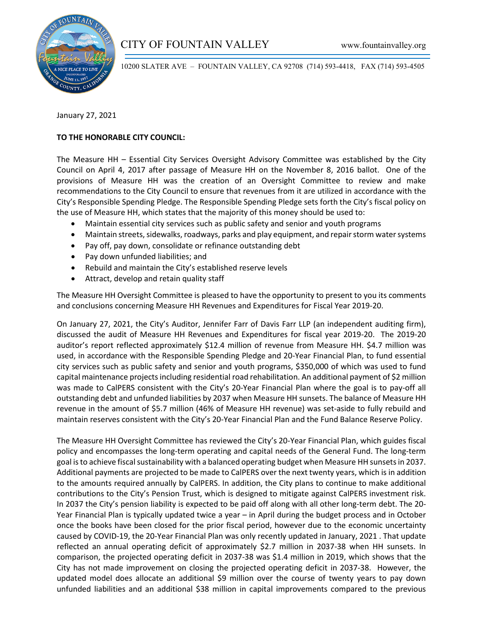

10200 SLATER AVE – FOUNTAIN VALLEY, CA 92708 (714) 593-4418, FAX (714) 593-4505

January 27, 2021

# **TO THE HONORABLE CITY COUNCIL:**

The Measure HH – Essential City Services Oversight Advisory Committee was established by the City Council on April 4, 2017 after passage of Measure HH on the November 8, 2016 ballot. One of the provisions of Measure HH was the creation of an Oversight Committee to review and make recommendations to the City Council to ensure that revenues from it are utilized in accordance with the City's Responsible Spending Pledge. The Responsible Spending Pledge sets forth the City's fiscal policy on the use of Measure HH, which states that the majority of this money should be used to:

- Maintain essential city services such as public safety and senior and youth programs
- Maintain streets, sidewalks, roadways, parks and play equipment, and repair storm water systems
- Pay off, pay down, consolidate or refinance outstanding debt
- Pay down unfunded liabilities; and
- Rebuild and maintain the City's established reserve levels
- Attract, develop and retain quality staff

The Measure HH Oversight Committee is pleased to have the opportunity to present to you its comments and conclusions concerning Measure HH Revenues and Expenditures for Fiscal Year 2019-20.

On January 27, 2021, the City's Auditor, Jennifer Farr of Davis Farr LLP (an independent auditing firm), discussed the audit of Measure HH Revenues and Expenditures for fiscal year 2019-20. The 2019-20 auditor's report reflected approximately \$12.4 million of revenue from Measure HH. \$4.7 million was used, in accordance with the Responsible Spending Pledge and 20-Year Financial Plan, to fund essential city services such as public safety and senior and youth programs, \$350,000 of which was used to fund capital maintenance projects including residential road rehabilitation. An additional payment of \$2 million was made to CalPERS consistent with the City's 20-Year Financial Plan where the goal is to pay-off all outstanding debt and unfunded liabilities by 2037 when Measure HH sunsets. The balance of Measure HH revenue in the amount of \$5.7 million (46% of Measure HH revenue) was set-aside to fully rebuild and maintain reserves consistent with the City's 20-Year Financial Plan and the Fund Balance Reserve Policy.

The Measure HH Oversight Committee has reviewed the City's 20-Year Financial Plan, which guides fiscal policy and encompasses the long-term operating and capital needs of the General Fund. The long-term goal is to achieve fiscal sustainability with a balanced operating budget when Measure HH sunsets in 2037. Additional payments are projected to be made to CalPERS over the next twenty years, which is in addition to the amounts required annually by CalPERS. In addition, the City plans to continue to make additional contributions to the City's Pension Trust, which is designed to mitigate against CalPERS investment risk. In 2037 the City's pension liability is expected to be paid off along with all other long-term debt. The 20- Year Financial Plan is typically updated twice a year – in April during the budget process and in October once the books have been closed for the prior fiscal period, however due to the economic uncertainty caused by COVID-19, the 20-Year Financial Plan was only recently updated in January, 2021 . That update reflected an annual operating deficit of approximately \$2.7 million in 2037-38 when HH sunsets. In comparison, the projected operating deficit in 2037-38 was \$1.4 million in 2019, which shows that the City has not made improvement on closing the projected operating deficit in 2037-38. However, the updated model does allocate an additional \$9 million over the course of twenty years to pay down unfunded liabilities and an additional \$38 million in capital improvements compared to the previous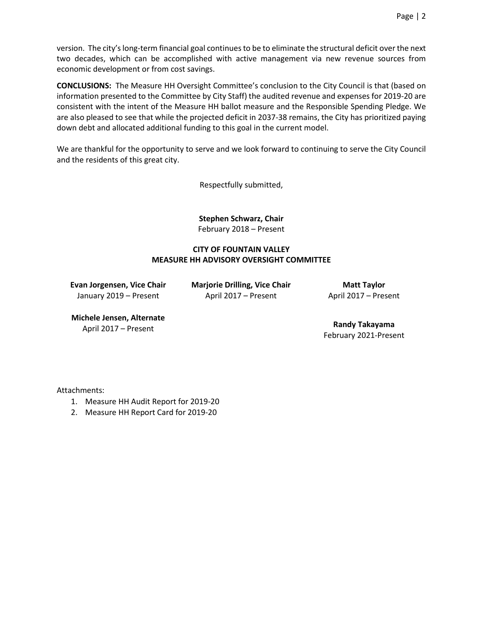version. The city's long-term financial goal continues to be to eliminate the structural deficit over the next two decades, which can be accomplished with active management via new revenue sources from economic development or from cost savings.

**CONCLUSIONS:** The Measure HH Oversight Committee's conclusion to the City Council is that (based on information presented to the Committee by City Staff) the audited revenue and expenses for 2019-20 are consistent with the intent of the Measure HH ballot measure and the Responsible Spending Pledge. We are also pleased to see that while the projected deficit in 2037-38 remains, the City has prioritized paying down debt and allocated additional funding to this goal in the current model.

We are thankful for the opportunity to serve and we look forward to continuing to serve the City Council and the residents of this great city.

Respectfully submitted,

**Stephen Schwarz, Chair** February 2018 – Present

# **CITY OF FOUNTAIN VALLEY MEASURE HH ADVISORY OVERSIGHT COMMITTEE**

**Evan Jorgensen, Vice Chair** January 2019 – Present

**Marjorie Drilling, Vice Chair** April 2017 – Present

**Matt Taylor** April 2017 – Present

# **Michele Jensen, Alternate**

April 2017 – Present **Randy Takayama** February 2021-Present

Attachments:

- 1. Measure HH Audit Report for 2019-20
- 2. Measure HH Report Card for 2019-20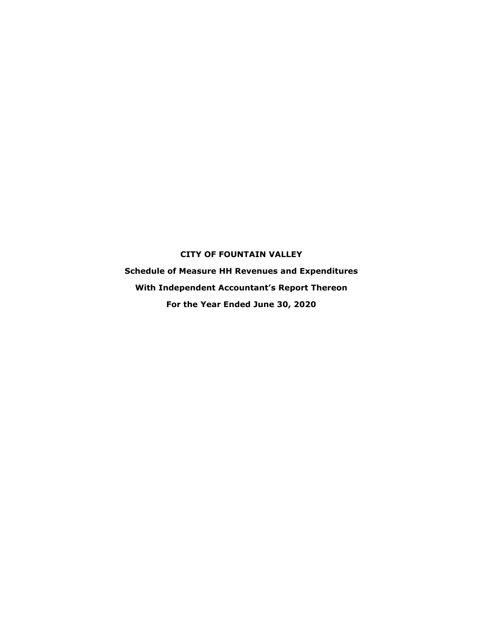### **CITY OF FOUNTAIN VALLEY**

**Schedule of Measure HH Revenues and Expenditures With Independent Accountant's Report Thereon For the Year Ended June 30, 2020**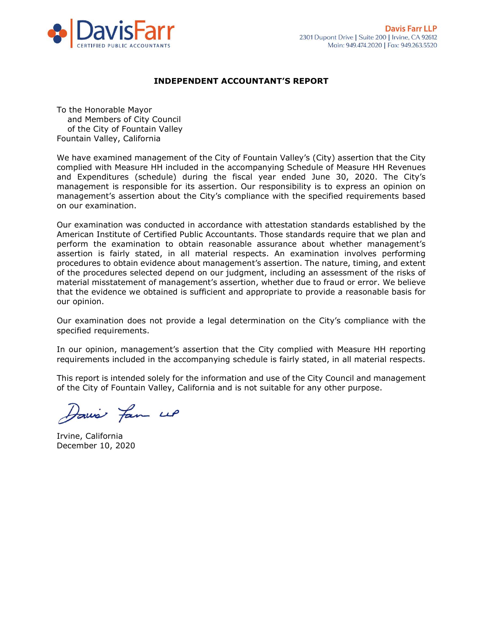

#### INDEPENDENT ACCOUNTANT'S REPORT

To the Honorable Mayor and Members of City Council of the City of Fountain Valley Fountain Valley, California

We have examined management of the City of Fountain Valley's (City) assertion that the City complied with Measure HH included in the accompanying Schedule of Measure HH Revenues and Expenditures (schedule) during the fiscal year ended June 30, 2020. The City's management is responsible for its assertion. Our responsibility is to express an opinion on management's assertion about the City's compliance with the specified requirements based on our examination.

Our examination was conducted in accordance with attestation standards established by the American Institute of Certified Public Accountants. Those standards require that we plan and perform the examination to obtain reasonable assurance about whether management's assertion is fairly stated, in all material respects. An examination involves performing procedures to obtain evidence about management's assertion. The nature, timing, and extent of the procedures selected depend on our judgment, including an assessment of the risks of material misstatement of management's assertion, whether due to fraud or error. We believe that the evidence we obtained is sufficient and appropriate to provide a reasonable basis for our opinion.

Our examination does not provide a legal determination on the City's compliance with the specified requirements.

In our opinion, management's assertion that the City complied with Measure HH reporting requirements included in the accompanying schedule is fairly stated, in all material respects.

This report is intended solely for the information and use of the City Council and management of the City of Fountain Valley, California and is not suitable for any other purpose.

Davis fan up

Irvine, California December 10, 2020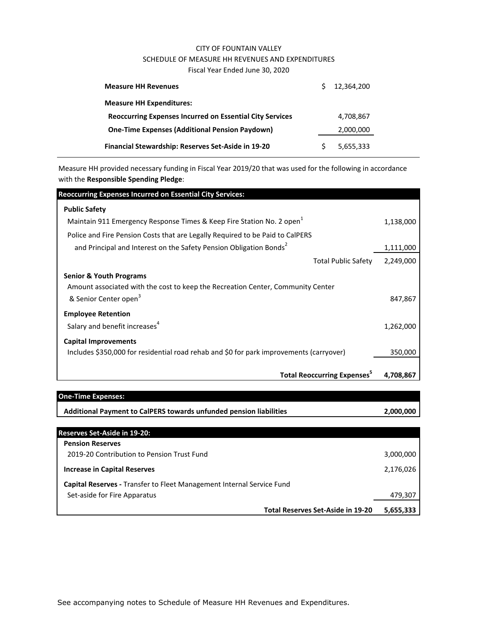#### CITY OF FOUNTAIN VALLEY SCHEDULE OF MEASURE HH REVENUES AND EXPENDITURES Fiscal Year Ended June 30, 2020

| <b>Measure HH Revenues</b>                                      | 12.364.200 |
|-----------------------------------------------------------------|------------|
| <b>Measure HH Expenditures:</b>                                 |            |
| <b>Reoccurring Expenses Incurred on Essential City Services</b> | 4.708.867  |
| <b>One-Time Expenses (Additional Pension Paydown)</b>           | 2,000,000  |
| Financial Stewardship: Reserves Set-Aside in 19-20              | 5,655,333  |

Measure HH provided necessary funding in Fiscal Year 2019/20 that was used for the following in accordance with the **Responsible Spending Pledge**:

| <b>Reoccurring Expenses Incurred on Essential City Services:</b>                        |           |
|-----------------------------------------------------------------------------------------|-----------|
| <b>Public Safety</b>                                                                    |           |
| Maintain 911 Emergency Response Times & Keep Fire Station No. 2 open <sup>1</sup>       | 1,138,000 |
| Police and Fire Pension Costs that are Legally Required to be Paid to CalPERS           |           |
| and Principal and Interest on the Safety Pension Obligation Bonds <sup>2</sup>          | 1,111,000 |
| <b>Total Public Safety</b>                                                              | 2,249,000 |
| <b>Senior &amp; Youth Programs</b>                                                      |           |
| Amount associated with the cost to keep the Recreation Center, Community Center         |           |
| & Senior Center open <sup>3</sup>                                                       | 847,867   |
| <b>Employee Retention</b>                                                               |           |
| Salary and benefit increases <sup>4</sup>                                               | 1,262,000 |
| <b>Capital Improvements</b>                                                             |           |
| Includes \$350,000 for residential road rehab and \$0 for park improvements (carryover) | 350,000   |
|                                                                                         |           |
| <b>Total Reoccurring Expenses</b> <sup>5</sup>                                          | 4.708.867 |

| <b>One-Time Expenses:</b>                                                    |           |
|------------------------------------------------------------------------------|-----------|
| Additional Payment to CalPERS towards unfunded pension liabilities           | 2,000,000 |
|                                                                              |           |
| <b>Reserves Set-Aside in 19-20:</b>                                          |           |
| <b>Pension Reserves</b>                                                      |           |
| 2019-20 Contribution to Pension Trust Fund                                   | 3,000,000 |
| <b>Increase in Capital Reserves</b>                                          | 2,176,026 |
| <b>Capital Reserves - Transfer to Fleet Management Internal Service Fund</b> |           |
| Set-aside for Fire Apparatus                                                 | 479,307   |
| <b>Total Reserves Set-Aside in 19-20</b>                                     | 5,655,333 |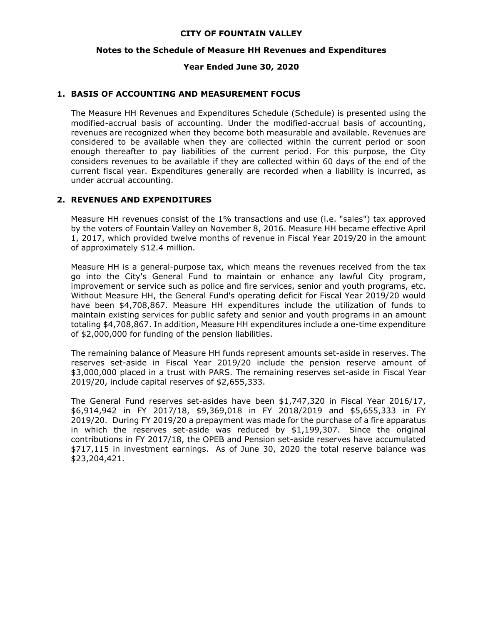#### **CITY OF FOUNTAIN VALLEY**

#### **Notes to the Schedule of Measure HH Revenues and Expenditures**

#### **Year Ended June 30, 2020**

#### **1. BASIS OF ACCOUNTING AND MEASUREMENT FOCUS**

The Measure HH Revenues and Expenditures Schedule (Schedule) is presented using the modified-accrual basis of accounting. Under the modified-accrual basis of accounting, revenues are recognized when they become both measurable and available. Revenues are considered to be available when they are collected within the current period or soon enough thereafter to pay liabilities of the current period. For this purpose, the City considers revenues to be available if they are collected within 60 days of the end of the current fiscal year. Expenditures generally are recorded when a liability is incurred, as under accrual accounting.

#### **2. REVENUES AND EXPENDITURES**

Measure HH revenues consist of the 1% transactions and use (i.e. "sales") tax approved by the voters of Fountain Valley on November 8, 2016. Measure HH became effective April 1, 2017, which provided twelve months of revenue in Fiscal Year 2019/20 in the amount of approximately \$12.4 million.

Measure HH is a general-purpose tax, which means the revenues received from the tax go into the City's General Fund to maintain or enhance any lawful City program, improvement or service such as police and fire services, senior and youth programs, etc. Without Measure HH, the General Fund's operating deficit for Fiscal Year 2019/20 would have been \$4,708,867. Measure HH expenditures include the utilization of funds to maintain existing services for public safety and senior and youth programs in an amount totaling \$4,708,867. In addition, Measure HH expenditures include a one-time expenditure of \$2,000,000 for funding of the pension liabilities.

The remaining balance of Measure HH funds represent amounts set-aside in reserves. The reserves set-aside in Fiscal Year 2019/20 include the pension reserve amount of \$3,000,000 placed in a trust with PARS. The remaining reserves set-aside in Fiscal Year 2019/20, include capital reserves of \$2,655,333.

The General Fund reserves set-asides have been \$1,747,320 in Fiscal Year 2016/17, \$6,914,942 in FY 2017/18, \$9,369,018 in FY 2018/2019 and \$5,655,333 in FY 2019/20. During FY 2019/20 a prepayment was made for the purchase of a fire apparatus in which the reserves set-aside was reduced by \$1,199,307. Since the original contributions in FY 2017/18, the OPEB and Pension set-aside reserves have accumulated \$717,115 in investment earnings. As of June 30, 2020 the total reserve balance was \$23,204,421.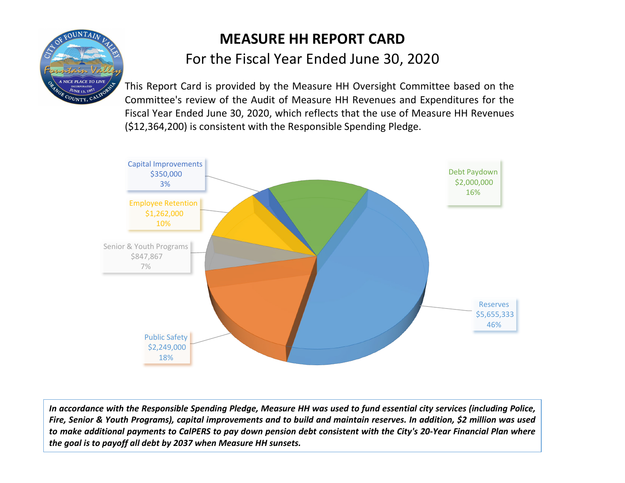

# **MEASURE HH REPORT CARD** For the Fiscal Year Ended June 30, 2020

This Report Card is provided by the Measure HH Oversight Committee based on the Committee's review of the Audit of Measure HH Revenues and Expenditures for the Fiscal Year Ended June 30, 2020, which reflects that the use of Measure HH Revenues (\$12,364,200) is consistent with the Responsible Spending Pledge.



In accordance with the Responsible Spending Pledge, Measure HH was used to fund essential city services (including Police, Fire, Senior & Youth Programs), capital improvements and to build and maintain reserves. In addition, \$2 million was used to make additional payments to CalPERS to pay down pension debt consistent with the City's 20-Year Financial Plan where *the goal is to payoff all debt by 2037 when Measure HH sunsets.*